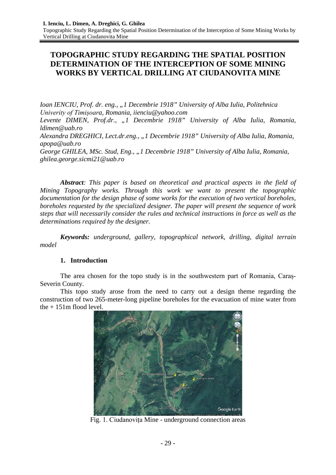# **TOPOGRAPHIC STUDY REGARDING THE SPATIAL POSITION DETERMINATION OF THE INTERCEPTION OF SOME MINING WORKS BY VERTICAL DRILLING AT CIUDANOVITA MINE**

*Ioan IENCIU, Prof. dr. eng., "1 Decembrie 1918" University of Alba Iulia, Politehnica Univerity of Timișoara, Romania, iienciu@yahoo.com Levente DIMEN, Prof.dr., "1 Decembrie 1918" University of Alba Iulia, Romania, ldimen@uab.ro Alexandra DREGHICI, Lect.dr.eng., "1 Decembrie 1918" University of Alba Iulia, Romania, apopa@uab.ro George GHILEA, MSc. Stud, Eng., "1 Decembrie 1918" University of Alba Iulia, Romania, ghilea.george.sicmi21@uab.ro*

*Abstract: This paper is based on theoretical and practical aspects in the field of Mining Topography works. Through this work we want to present the topographic documentation for the design phase of some works for the execution of two vertical boreholes, boreholes requested by the specialized designer. The paper will present the sequence of work steps that will necessarily consider the rules and technical instructions in force as well as the determinations required by the designer.*

*Keywords: underground, gallery, topographical network, drilling, digital terrain model*

# **1. Introduction**

The area chosen for the topo study is in the southwestern part of Romania, Caraș-Severin County.

This topo study arose from the need to carry out a design theme regarding the construction of two 265-meter-long pipeline boreholes for the evacuation of mine water from the  $+151$ m flood level.



Fig. 1. Ciudanovița Mine - underground connection areas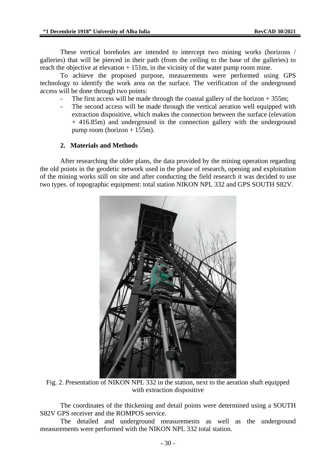These vertical boreholes are intended to intercept two mining works (horizons / galleries) that will be pierced in their path (from the ceiling to the base of the galleries) to reach the objective at elevation + 151m, in the vicinity of the water pump room mine.

To achieve the proposed purpose, measurements were performed using GPS technology to identify the work area on the surface. The verification of the underground access will be done through two points:

- The first access will be made through the coastal gallery of the horizon  $+ 355$ m;
- The second access will be made through the vertical aeration well equipped with extraction dispositive, which makes the connection between the surface (elevation + 416.85m) and underground in the connection gallery with the underground pump room (horizon  $+ 155$ m).

# **2. Materials and Methods**

After researching the older plans, the data provided by the mining operation regarding the old points in the geodetic network used in the phase of research, opening and exploitation of the mining works still on site and after conducting the field research it was decided to use two types. of topographic equipment: total station NIKON NPL 332 and GPS SOUTH S82V.



Fig. 2. Presentation of NIKON NPL 332 in the station, next to the aeration shaft equipped with extraction dispositive

The coordinates of the thickening and detail points were determined using a SOUTH S82V GPS receiver and the ROMPOS service.

The detailed and underground measurements as well as the underground measurements were performed with the NIKON NPL 332 total station.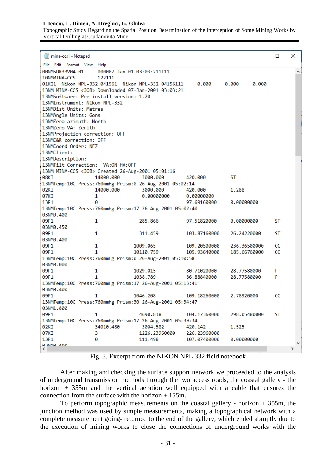#### **I. Ienciu, L. Dimen, A. Dreghici, G. Ghilea**

Topographic Study Regarding the Spatial Position Determination of the Interception of Some Mining Works by Vertical Drilling at Ciudanovita Mine

| mina-ccs1 - Notepad                                                                                   |              |  | □  | × |  |  |  |  |  |  |  |  |  |  |
|-------------------------------------------------------------------------------------------------------|--------------|--|----|---|--|--|--|--|--|--|--|--|--|--|
| File Edit Format View                                                                                 |              |  |    |   |  |  |  |  |  |  |  |  |  |  |
| Help                                                                                                  |              |  |    |   |  |  |  |  |  |  |  |  |  |  |
| 000007-Jan-01 03:03:211111<br>00NMSDR33V04-01<br>10NMMINA-CCS<br>122111                               |              |  |    |   |  |  |  |  |  |  |  |  |  |  |
| 0.000                                                                                                 |              |  |    |   |  |  |  |  |  |  |  |  |  |  |
| 01KI1 Nikon NPL-332 041561 Nikon NPL-332 04156111<br>0.000<br>0.000                                   |              |  |    |   |  |  |  |  |  |  |  |  |  |  |
| 13NM MINA-CCS <job> Downloaded 07-Jan-2001 03:03:21<br/>13NMSoftware: Pre-install version: 1.20</job> |              |  |    |   |  |  |  |  |  |  |  |  |  |  |
| 13NMInstrument: Nikon NPL-332                                                                         |              |  |    |   |  |  |  |  |  |  |  |  |  |  |
| 13NMDist Units: Metres                                                                                |              |  |    |   |  |  |  |  |  |  |  |  |  |  |
| 13NMAngle Units: Gons                                                                                 |              |  |    |   |  |  |  |  |  |  |  |  |  |  |
| 13NMZero azimuth: North                                                                               |              |  |    |   |  |  |  |  |  |  |  |  |  |  |
| 13NMZero VA: Zenith                                                                                   |              |  |    |   |  |  |  |  |  |  |  |  |  |  |
| 13NMProjection correction: OFF                                                                        |              |  |    |   |  |  |  |  |  |  |  |  |  |  |
| 13NMC&R correction: OFF                                                                               |              |  |    |   |  |  |  |  |  |  |  |  |  |  |
| 13NMCoord Order: NEZ                                                                                  |              |  |    |   |  |  |  |  |  |  |  |  |  |  |
| 13NMClient:                                                                                           |              |  |    |   |  |  |  |  |  |  |  |  |  |  |
| 13NMDescription:                                                                                      |              |  |    |   |  |  |  |  |  |  |  |  |  |  |
| 13NMTilt Correction: VA:ON HA:OFF                                                                     |              |  |    |   |  |  |  |  |  |  |  |  |  |  |
| 13NM MINA-CCS < JOB> Created 26-Aug-2001 05:01:16                                                     |              |  |    |   |  |  |  |  |  |  |  |  |  |  |
| 08KI<br>14000.000<br>3000.000<br>420,000                                                              | ST           |  |    |   |  |  |  |  |  |  |  |  |  |  |
| 13NMTemp:10C Press:760mmHg Prism:0 26-Aug-2001 05:02:14                                               |              |  |    |   |  |  |  |  |  |  |  |  |  |  |
| 02KI<br>14000.000<br>3000.000<br>420.000                                                              | 1.288        |  |    |   |  |  |  |  |  |  |  |  |  |  |
| 07KI<br>1<br>0.00000000<br>0.00000000                                                                 |              |  |    |   |  |  |  |  |  |  |  |  |  |  |
| ø<br>13F1<br>97.69160000                                                                              | 0.00000000   |  |    |   |  |  |  |  |  |  |  |  |  |  |
| 13NMTemp:10C Press:760mmHg Prism:17 26-Aug-2001 05:02:40                                              |              |  |    |   |  |  |  |  |  |  |  |  |  |  |
| 03NM0.400                                                                                             |              |  |    |   |  |  |  |  |  |  |  |  |  |  |
| 09F1<br>285.866<br>1<br>97.51820000                                                                   | 0.00000000   |  | ST |   |  |  |  |  |  |  |  |  |  |  |
| 03NM0.450                                                                                             |              |  |    |   |  |  |  |  |  |  |  |  |  |  |
| 09F1<br>1<br>311.459<br>103.87160000                                                                  | 26.24220000  |  | ST |   |  |  |  |  |  |  |  |  |  |  |
| 03NM0.400                                                                                             |              |  |    |   |  |  |  |  |  |  |  |  |  |  |
| 09F1<br>1<br>1009.065<br>109.20500000                                                                 | 236.36500000 |  | cc |   |  |  |  |  |  |  |  |  |  |  |
| 09F1<br>1<br>10110.759<br>105.93640000                                                                | 185.66760000 |  | CС |   |  |  |  |  |  |  |  |  |  |  |
| 13NMTemp:10C Press:760mmHg Prism:0 26-Aug-2001 05:10:58                                               |              |  |    |   |  |  |  |  |  |  |  |  |  |  |
| 03NM0.000                                                                                             |              |  |    |   |  |  |  |  |  |  |  |  |  |  |
| 09F1<br>1<br>1029.015<br>80.71020000                                                                  | 28.77580000  |  | F  |   |  |  |  |  |  |  |  |  |  |  |
| 1<br>1038.789<br>09F1<br>86.88840000                                                                  | 28.77580000  |  | F  |   |  |  |  |  |  |  |  |  |  |  |
| 13NMTemp:10C Press:760mmHg Prism:17 26-Aug-2001 05:13:41                                              |              |  |    |   |  |  |  |  |  |  |  |  |  |  |
| 03NM0.400                                                                                             |              |  |    |   |  |  |  |  |  |  |  |  |  |  |
| 09F1<br>1<br>1046.208<br>109.18260000                                                                 | 2.78920000   |  | cc |   |  |  |  |  |  |  |  |  |  |  |
|                                                                                                       |              |  |    |   |  |  |  |  |  |  |  |  |  |  |
| 03NM1.800                                                                                             |              |  |    |   |  |  |  |  |  |  |  |  |  |  |
| 09F1<br>1<br>4690.838<br>104.17360000                                                                 | 298.05480000 |  | ST |   |  |  |  |  |  |  |  |  |  |  |
| 13NMTemp:10C Press:760mmHg Prism:17 26-Aug-2001 05:39:34                                              |              |  |    |   |  |  |  |  |  |  |  |  |  |  |
| 02KI<br>34010.480<br>3004.582<br>420.142                                                              | 1.525        |  |    |   |  |  |  |  |  |  |  |  |  |  |
| 07KI<br>1226.23960000<br>226.23960000<br>3                                                            |              |  |    |   |  |  |  |  |  |  |  |  |  |  |
| 13F1<br>0<br>107.07400000<br>111.498                                                                  | 0.00000000   |  |    |   |  |  |  |  |  |  |  |  |  |  |
| азыма лаа                                                                                             |              |  |    |   |  |  |  |  |  |  |  |  |  |  |
| ⋖                                                                                                     |              |  |    |   |  |  |  |  |  |  |  |  |  |  |

Fig. 3. Excerpt from the NIKON NPL 332 field notebook

After making and checking the surface support network we proceeded to the analysis of underground transmission methods through the two access roads, the coastal gallery - the horizon + 355m and the vertical aeration well equipped with a cable that ensures the connection from the surface with the horizon + 155m.

To perform topographic measurements on the coastal gallery - horizon  $+ 355m$ , the junction method was used by simple measurements, making a topographical network with a complete measurement going- returned to the end of the gallery, which ended abruptly due to the execution of mining works to close the connections of underground works with the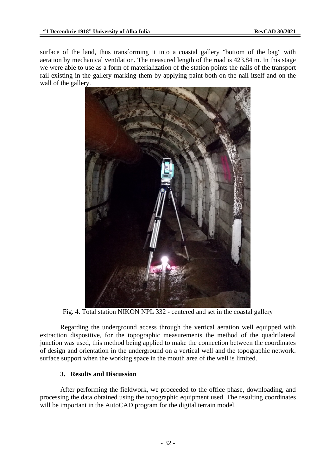surface of the land, thus transforming it into a coastal gallery "bottom of the bag" with aeration by mechanical ventilation. The measured length of the road is 423.84 m. In this stage we were able to use as a form of materialization of the station points the nails of the transport rail existing in the gallery marking them by applying paint both on the nail itself and on the wall of the gallery.



Fig. 4. Total station NIKON NPL 332 - centered and set in the coastal gallery

Regarding the underground access through the vertical aeration well equipped with extraction dispositive, for the topographic measurements the method of the quadrilateral junction was used, this method being applied to make the connection between the coordinates of design and orientation in the underground on a vertical well and the topographic network. surface support when the working space in the mouth area of the well is limited.

### **3. Results and Discussion**

After performing the fieldwork, we proceeded to the office phase, downloading, and processing the data obtained using the topographic equipment used. The resulting coordinates will be important in the AutoCAD program for the digital terrain model.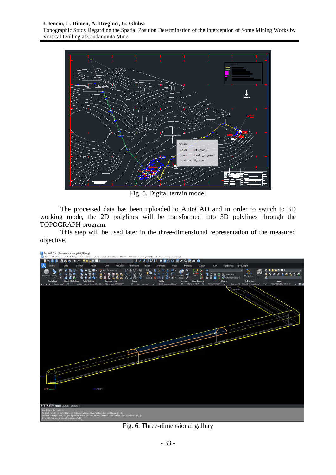#### **I. Ienciu, L. Dimen, A. Dreghici, G. Ghilea**

Topographic Study Regarding the Spatial Position Determination of the Interception of Some Mining Works by Vertical Drilling at Ciudanovita Mine



Fig. 5. Digital terrain model

The processed data has been uploaded to AutoCAD and in order to switch to 3D working mode, the 2D polylines will be transformed into 3D polylines through the TOPOGRAPH program.

This step will be used later in the three-dimensional representation of the measured objective.

|             | 2. BricsCAD Pro - [Ciudanovita-trama galerii_3D.dwg] |   |                                       |         |                                                                   |                                                                                         |             |                                                                                                                                                                                                       |        |                                                                                                |                |                               |                                               |                                                                 |                                                                        |                      |                                                                  |        |                                                |              |
|-------------|------------------------------------------------------|---|---------------------------------------|---------|-------------------------------------------------------------------|-----------------------------------------------------------------------------------------|-------------|-------------------------------------------------------------------------------------------------------------------------------------------------------------------------------------------------------|--------|------------------------------------------------------------------------------------------------|----------------|-------------------------------|-----------------------------------------------|-----------------------------------------------------------------|------------------------------------------------------------------------|----------------------|------------------------------------------------------------------|--------|------------------------------------------------|--------------|
|             |                                                      |   |                                       |         |                                                                   |                                                                                         |             | 73 File Edit View Insert Settings Tools Draw Model Civil Dimension Modify Parametric Components Window Help TopoGraph                                                                                 |        |                                                                                                |                |                               |                                               |                                                                 |                                                                        |                      |                                                                  |        |                                                |              |
| <b>IRE.</b> | ы                                                    |   | <b>College</b>                        |         | $\bullet \bullet \bullet \bullet \bullet \bullet \bullet \bullet$ |                                                                                         |             |                                                                                                                                                                                                       |        | ○ あんせきだま 市直の日 面みな説明 ◎                                                                          |                |                               |                                               |                                                                 |                                                                        |                      |                                                                  |        |                                                |              |
| λ,          | Home                                                 |   | Solid                                 | Surface | Mesh                                                              | Civil                                                                                   |             | Visualize Parametric                                                                                                                                                                                  | Insert | Annotate                                                                                       | View           | Manage                        | Output                                        | <b>BIM</b>                                                      |                                                                        | Mechanical TopoGraph |                                                                  |        |                                                |              |
| Primitives  | Modeling<br>ICC + 3 N Galerie misa*                  | 価 | <b>Direct Modeling</b><br>$\mathbf x$ |         | <b>Solid Editing</b>                                              | L. C . J. Auto Parametruse<br>Imobile inventar domeniul public jud Hunedoara 25032021". | Parametrize | $A + B - C - C$<br><b>▲ 1. 師師義義 カノ⊙-⊚- 2■</b><br><b>COLGELOUD-0- 000 XET</b><br>Draw                                                                                                                  |        | <b>CARL IN THE</b><br>Sun Carl Cit<br><b>Hodify</b><br>X plan incadrate" X PAD rezervor Dobra" | 面白ー<br>$Q = 1$ | m -<br>Section<br>Plane all - | Þ.<br>ъ.<br>UCS.<br>経<br>Sections Coordinates | $\bullet$<br>٩<br><b>10 H</b><br>X BACIA VECHI" X DEVA VECHI" X | <b>20 El B</b> Perspective<br><b>Match Perspective</b><br><b>Views</b> | $\omega$             | Maripulate<br><b>Selection</b><br>Releveu C2 - DGAMPT Hunedoara" | Layers | <b>SVARSE</b><br>Layers<br>X ORASTICARA VECHIT | $\times$ Cud |
|             | <b>ICC + D D Model</b> Layout1 Layout2 +             |   |                                       |         |                                                                   |                                                                                         |             |                                                                                                                                                                                                       |        |                                                                                                |                |                               |                                               |                                                                 |                                                                        |                      |                                                                  |        |                                                |              |
|             | Entities in set: 2                                   |   |                                       |         |                                                                   |                                                                                         |             |                                                                                                                                                                                                       |        |                                                                                                |                |                               |                                               |                                                                 |                                                                        |                      |                                                                  |        |                                                |              |
|             |                                                      |   |                                       |         |                                                                   |                                                                                         |             | Select profile entities or [Müde/Interactive/selection options (?)]:<br> Select sweep path or [Aligmeent/Base point/Twist/Interactive/selection options (?)]:<br> 2 entities were swept successfully. |        |                                                                                                |                |                               |                                               |                                                                 |                                                                        |                      |                                                                  |        |                                                |              |

Fig. 6. Three-dimensional gallery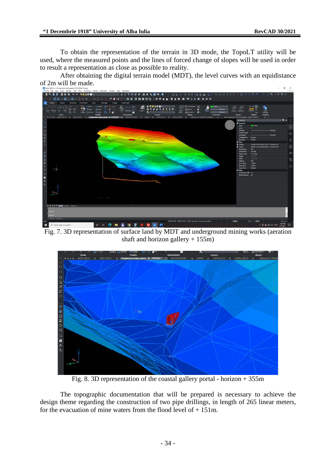To obtain the representation of the terrain in 3D mode, the TopoLT utility will be used, where the measured points and the lines of forced change of slopes will be used in order to result a representation as close as possible to reality.

After obtaining the digital terrain model (MDT), the level curves with an equidistance of 2m will be made.



Fig. 7. 3D representation of surface land by MDT and underground mining works (aeration shaft and horizon gallery + 155m)



Fig. 8. 3D representation of the coastal gallery portal - horizon + 355m

The topographic documentation that will be prepared is necessary to achieve the design theme regarding the construction of two pipe drillings, in length of 265 linear meters, for the evacuation of mine waters from the flood level of  $+ 151$ m.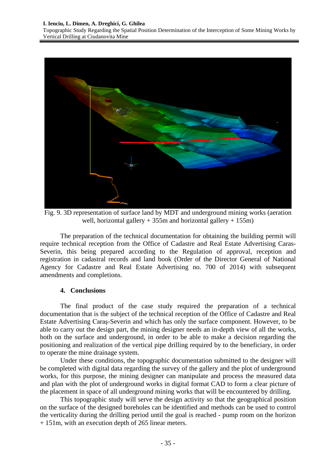#### **I. Ienciu, L. Dimen, A. Dreghici, G. Ghilea**

Topographic Study Regarding the Spatial Position Determination of the Interception of Some Mining Works by Vertical Drilling at Ciudanovita Mine



Fig. 9. 3D representation of surface land by MDT and underground mining works (aeration well, horizontal gallery  $+ 355m$  and horizontal gallery  $+ 155m$ )

The preparation of the technical documentation for obtaining the building permit will require technical reception from the Office of Cadastre and Real Estate Advertising Caras-Severin, this being prepared according to the Regulation of approval, reception and registration in cadastral records and land book (Order of the Director General of National Agency for Cadastre and Real Estate Advertising no. 700 of 2014) with subsequent amendments and completions.

#### **4. Conclusions**

The final product of the case study required the preparation of a technical documentation that is the subject of the technical reception of the Office of Cadastre and Real Estate Advertising Caraş-Severin and which has only the surface component. However, to be able to carry out the design part, the mining designer needs an in-depth view of all the works, both on the surface and underground, in order to be able to make a decision regarding the positioning and realization of the vertical pipe drilling required by to the beneficiary, in order to operate the mine drainage system.

Under these conditions, the topographic documentation submitted to the designer will be completed with digital data regarding the survey of the gallery and the plot of underground works, for this purpose, the mining designer can manipulate and process the measured data and plan with the plot of underground works in digital format CAD to form a clear picture of the placement in space of all underground mining works that will be encountered by drilling.

This topographic study will serve the design activity so that the geographical position on the surface of the designed boreholes can be identified and methods can be used to control the verticality during the drilling period until the goal is reached - pump room on the horizon + 151m, with an execution depth of 265 linear meters.